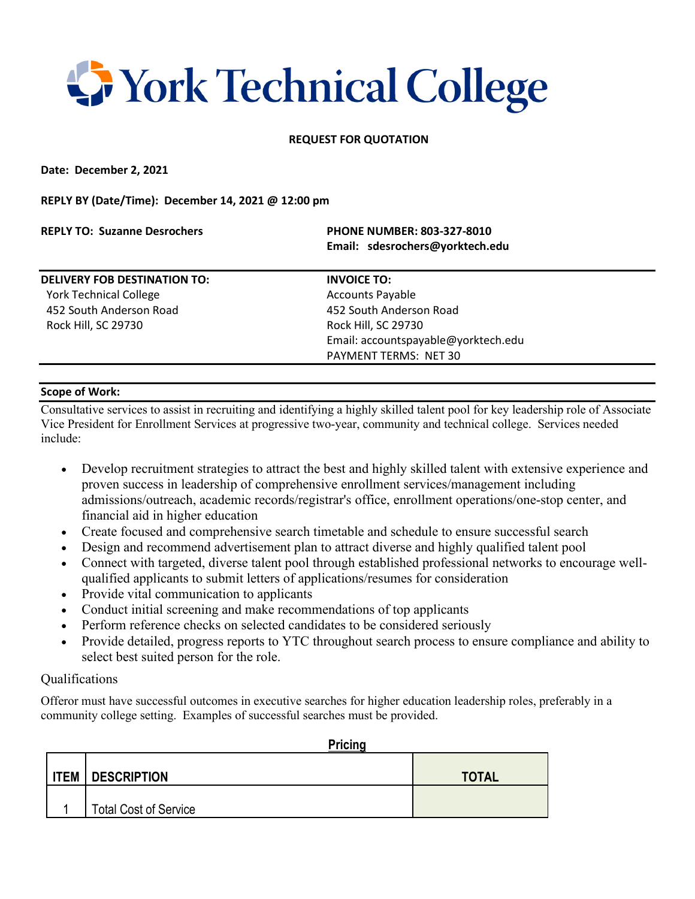## **T** York Technical College

## **REQUEST FOR QUOTATION**

**Date: December 2, 2021**

**REPLY BY (Date/Time): December 14, 2021 @ 12:00 pm**

| <b>REPLY TO: Suzanne Desrochers</b> | <b>PHONE NUMBER: 803-327-8010</b><br>Email: sdesrochers@yorktech.edu |  |
|-------------------------------------|----------------------------------------------------------------------|--|
| <b>DELIVERY FOB DESTINATION TO:</b> | <b>INVOICE TO:</b>                                                   |  |
| <b>York Technical College</b>       | <b>Accounts Payable</b>                                              |  |
| 452 South Anderson Road             | 452 South Anderson Road                                              |  |
| Rock Hill, SC 29730                 | Rock Hill, SC 29730                                                  |  |
|                                     | Email: accountspayable@yorktech.edu                                  |  |
|                                     | PAYMENT TERMS: NET 30                                                |  |
|                                     |                                                                      |  |

## **Scope of Work:**

Consultative services to assist in recruiting and identifying a highly skilled talent pool for key leadership role of Associate Vice President for Enrollment Services at progressive two-year, community and technical college. Services needed include:

- Develop recruitment strategies to attract the best and highly skilled talent with extensive experience and proven success in leadership of comprehensive enrollment services/management including admissions/outreach, academic records/registrar's office, enrollment operations/one-stop center, and financial aid in higher education
- Create focused and comprehensive search timetable and schedule to ensure successful search
- Design and recommend advertisement plan to attract diverse and highly qualified talent pool
- Connect with targeted, diverse talent pool through established professional networks to encourage wellqualified applicants to submit letters of applications/resumes for consideration
- Provide vital communication to applicants
- Conduct initial screening and make recommendations of top applicants
- Perform reference checks on selected candidates to be considered seriously
- Provide detailed, progress reports to YTC throughout search process to ensure compliance and ability to select best suited person for the role.

## Qualifications

Offeror must have successful outcomes in executive searches for higher education leadership roles, preferably in a community college setting. Examples of successful searches must be provided.

|             | Pricing                      |              |  |
|-------------|------------------------------|--------------|--|
|             |                              |              |  |
| <b>ITEM</b> | <b>DESCRIPTION</b>           | <b>TOTAL</b> |  |
|             |                              |              |  |
|             | <b>Total Cost of Service</b> |              |  |